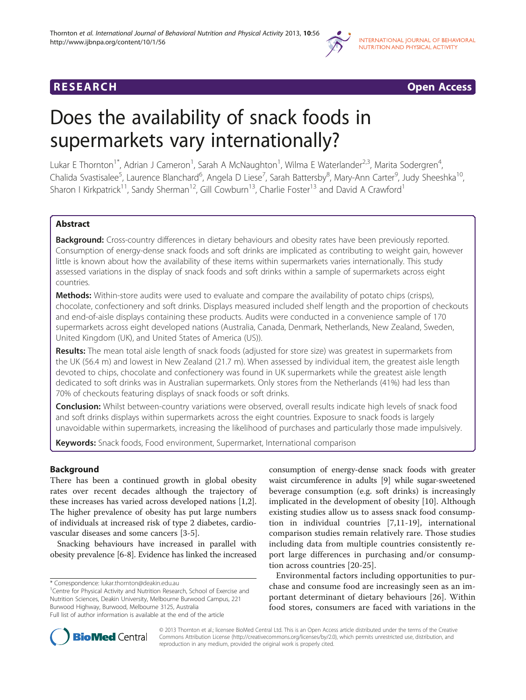

## **RESEARCH RESEARCH CONSUMING ACCESS**

# Does the availability of snack foods in supermarkets vary internationally?

Lukar E Thornton<sup>1\*</sup>, Adrian J Cameron<sup>1</sup>, Sarah A McNaughton<sup>1</sup>, Wilma E Waterlander<sup>2,3</sup>, Marita Sodergren<sup>4</sup> , Chalida Svastisalee<sup>5</sup>, Laurence Blanchard<sup>6</sup>, Angela D Liese<sup>7</sup>, Sarah Battersby<sup>8</sup>, Mary-Ann Carter<sup>9</sup>, Judy Sheeshka<sup>10</sup>, Sharon I Kirkpatrick<sup>11</sup>, Sandy Sherman<sup>12</sup>, Gill Cowburn<sup>13</sup>, Charlie Foster<sup>13</sup> and David A Crawford<sup>1</sup>

## Abstract

**Background:** Cross-country differences in dietary behaviours and obesity rates have been previously reported. Consumption of energy-dense snack foods and soft drinks are implicated as contributing to weight gain, however little is known about how the availability of these items within supermarkets varies internationally. This study assessed variations in the display of snack foods and soft drinks within a sample of supermarkets across eight countries.

Methods: Within-store audits were used to evaluate and compare the availability of potato chips (crisps), chocolate, confectionery and soft drinks. Displays measured included shelf length and the proportion of checkouts and end-of-aisle displays containing these products. Audits were conducted in a convenience sample of 170 supermarkets across eight developed nations (Australia, Canada, Denmark, Netherlands, New Zealand, Sweden, United Kingdom (UK), and United States of America (US)).

Results: The mean total aisle length of snack foods (adjusted for store size) was greatest in supermarkets from the UK (56.4 m) and lowest in New Zealand (21.7 m). When assessed by individual item, the greatest aisle length devoted to chips, chocolate and confectionery was found in UK supermarkets while the greatest aisle length dedicated to soft drinks was in Australian supermarkets. Only stores from the Netherlands (41%) had less than 70% of checkouts featuring displays of snack foods or soft drinks.

Conclusion: Whilst between-country variations were observed, overall results indicate high levels of snack food and soft drinks displays within supermarkets across the eight countries. Exposure to snack foods is largely unavoidable within supermarkets, increasing the likelihood of purchases and particularly those made impulsively.

Keywords: Snack foods, Food environment, Supermarket, International comparison

## Background

There has been a continued growth in global obesity rates over recent decades although the trajectory of these increases has varied across developed nations [\[1,2](#page-7-0)]. The higher prevalence of obesity has put large numbers of individuals at increased risk of type 2 diabetes, cardiovascular diseases and some cancers [\[3](#page-7-0)-[5\]](#page-7-0).

Snacking behaviours have increased in parallel with obesity prevalence [\[6](#page-7-0)-[8\]](#page-7-0). Evidence has linked the increased

\* Correspondence: [lukar.thornton@deakin.edu.au](mailto:lukar.thornton@deakin.edu.au) <sup>1</sup>

<sup>1</sup> Centre for Physical Activity and Nutrition Research, School of Exercise and Nutrition Sciences, Deakin University, Melbourne Burwood Campus, 221 Burwood Highway, Burwood, Melbourne 3125, Australia Full list of author information is available at the end of the article

consumption of energy-dense snack foods with greater waist circumference in adults [[9](#page-7-0)] while sugar-sweetened beverage consumption (e.g. soft drinks) is increasingly implicated in the development of obesity [[10](#page-7-0)]. Although existing studies allow us to assess snack food consumption in individual countries [[7,11-19](#page-7-0)], international comparison studies remain relatively rare. Those studies including data from multiple countries consistently report large differences in purchasing and/or consumption across countries [[20-25\]](#page-7-0).

Environmental factors including opportunities to purchase and consume food are increasingly seen as an important determinant of dietary behaviours [[26\]](#page-7-0). Within food stores, consumers are faced with variations in the



© 2013 Thornton et al.; licensee BioMed Central Ltd. This is an Open Access article distributed under the terms of the Creative Commons Attribution License [\(http://creativecommons.org/licenses/by/2.0\)](http://creativecommons.org/licenses/by/2.0), which permits unrestricted use, distribution, and reproduction in any medium, provided the original work is properly cited.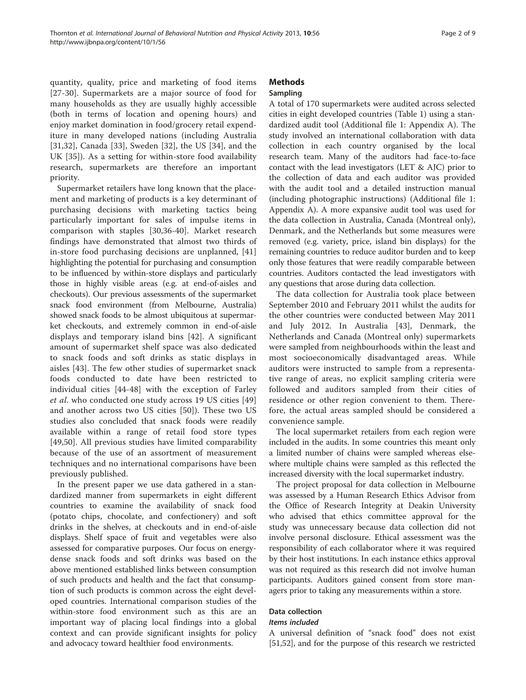quantity, quality, price and marketing of food items [[27-30\]](#page-7-0). Supermarkets are a major source of food for many households as they are usually highly accessible (both in terms of location and opening hours) and enjoy market domination in food/grocery retail expenditure in many developed nations (including Australia [[31,32](#page-7-0)], Canada [[33\]](#page-7-0), Sweden [[32\]](#page-7-0), the US [[34](#page-7-0)], and the UK [\[35](#page-7-0)]). As a setting for within-store food availability research, supermarkets are therefore an important priority.

Supermarket retailers have long known that the placement and marketing of products is a key determinant of purchasing decisions with marketing tactics being particularly important for sales of impulse items in comparison with staples [[30,36-40](#page-7-0)]. Market research findings have demonstrated that almost two thirds of in-store food purchasing decisions are unplanned, [\[41](#page-8-0)] highlighting the potential for purchasing and consumption to be influenced by within-store displays and particularly those in highly visible areas (e.g. at end-of-aisles and checkouts). Our previous assessments of the supermarket snack food environment (from Melbourne, Australia) showed snack foods to be almost ubiquitous at supermarket checkouts, and extremely common in end-of-aisle displays and temporary island bins [[42\]](#page-8-0). A significant amount of supermarket shelf space was also dedicated to snack foods and soft drinks as static displays in aisles [\[43](#page-8-0)]. The few other studies of supermarket snack foods conducted to date have been restricted to individual cities [[44](#page-8-0)-[48\]](#page-8-0) with the exception of Farley et al. who conducted one study across 19 US cities [\[49](#page-8-0)] and another across two US cities [[50\]](#page-8-0)). These two US studies also concluded that snack foods were readily available within a range of retail food store types [[49,50](#page-8-0)]. All previous studies have limited comparability because of the use of an assortment of measurement techniques and no international comparisons have been previously published.

In the present paper we use data gathered in a standardized manner from supermarkets in eight different countries to examine the availability of snack food (potato chips, chocolate, and confectionery) and soft drinks in the shelves, at checkouts and in end-of-aisle displays. Shelf space of fruit and vegetables were also assessed for comparative purposes. Our focus on energydense snack foods and soft drinks was based on the above mentioned established links between consumption of such products and health and the fact that consumption of such products is common across the eight developed countries. International comparison studies of the within-store food environment such as this are an important way of placing local findings into a global context and can provide significant insights for policy and advocacy toward healthier food environments.

## **Methods**

## Sampling

A total of 170 supermarkets were audited across selected cities in eight developed countries (Table [1](#page-2-0)) using a standardized audit tool (Additional file [1:](#page-6-0) Appendix A). The study involved an international collaboration with data collection in each country organised by the local research team. Many of the auditors had face-to-face contact with the lead investigators (LET & AJC) prior to the collection of data and each auditor was provided with the audit tool and a detailed instruction manual (including photographic instructions) (Additional file [1](#page-6-0): Appendix A). A more expansive audit tool was used for the data collection in Australia, Canada (Montreal only), Denmark, and the Netherlands but some measures were removed (e.g. variety, price, island bin displays) for the remaining countries to reduce auditor burden and to keep only those features that were readily comparable between countries. Auditors contacted the lead investigators with any questions that arose during data collection.

The data collection for Australia took place between September 2010 and February 2011 whilst the audits for the other countries were conducted between May 2011 and July 2012. In Australia [\[43](#page-8-0)], Denmark, the Netherlands and Canada (Montreal only) supermarkets were sampled from neighbourhoods within the least and most socioeconomically disadvantaged areas. While auditors were instructed to sample from a representative range of areas, no explicit sampling criteria were followed and auditors sampled from their cities of residence or other region convenient to them. Therefore, the actual areas sampled should be considered a convenience sample.

The local supermarket retailers from each region were included in the audits. In some countries this meant only a limited number of chains were sampled whereas elsewhere multiple chains were sampled as this reflected the increased diversity with the local supermarket industry.

The project proposal for data collection in Melbourne was assessed by a Human Research Ethics Advisor from the Office of Research Integrity at Deakin University who advised that ethics committee approval for the study was unnecessary because data collection did not involve personal disclosure. Ethical assessment was the responsibility of each collaborator where it was required by their host institutions. In each instance ethics approval was not required as this research did not involve human participants. Auditors gained consent from store managers prior to taking any measurements within a store.

## Data collection

### Items included

A universal definition of "snack food" does not exist [[51](#page-8-0),[52](#page-8-0)], and for the purpose of this research we restricted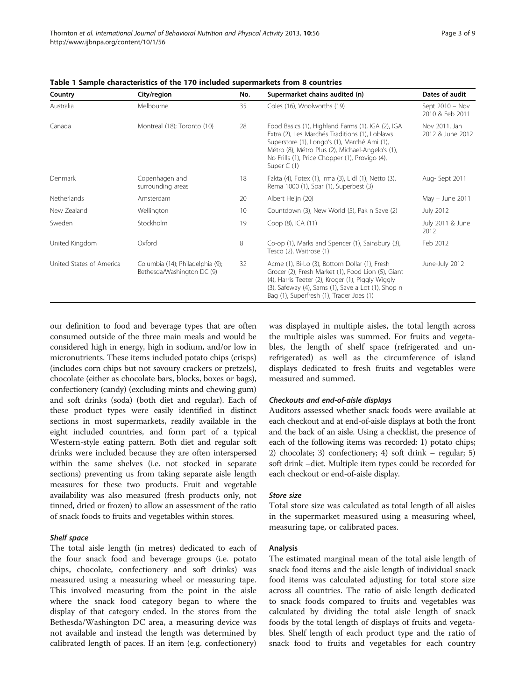| Country                  | City/region                                                    | No. | Supermarket chains audited (n)                                                                                                                                                                                                                                            | Dates of audit                       |
|--------------------------|----------------------------------------------------------------|-----|---------------------------------------------------------------------------------------------------------------------------------------------------------------------------------------------------------------------------------------------------------------------------|--------------------------------------|
| Australia                | Melbourne                                                      | 35  | Coles (16), Woolworths (19)                                                                                                                                                                                                                                               | Sept $2010 - Nov$<br>2010 & Feb 2011 |
| Canada                   | Montreal (18); Toronto (10)                                    | 28  | Food Basics (1), Highland Farms (1), IGA (2), IGA<br>Extra (2), Les Marchés Traditions (1), Loblaws<br>Superstore (1), Longo's (1), Marché Ami (1),<br>Métro (8), Métro Plus (2), Michael-Angelo's (1),<br>No Frills (1), Price Chopper (1), Provigo (4),<br>Super $C(1)$ | Nov 2011, Jan<br>2012 & June 2012    |
| Denmark                  | Copenhagen and<br>surrounding areas                            | 18  | Fakta (4), Fotex (1), Irma (3), Lidl (1), Netto (3),<br>Rema 1000 (1), Spar (1), Superbest (3)                                                                                                                                                                            | Aug-Sept 2011                        |
| Netherlands              | Amsterdam                                                      | 20  | Albert Heijn (20)                                                                                                                                                                                                                                                         | $May - June 2011$                    |
| New Zealand              | Wellington                                                     | 10  | Countdown (3), New World (5), Pak n Save (2)                                                                                                                                                                                                                              | <b>July 2012</b>                     |
| Sweden                   | Stockholm                                                      | 19  | Coop (8), ICA (11)                                                                                                                                                                                                                                                        | July 2011 & June<br>2012             |
| United Kingdom           | Oxford                                                         | 8   | Co-op (1), Marks and Spencer (1), Sainsbury (3),<br>Tesco (2), Waitrose (1)                                                                                                                                                                                               | Feb 2012                             |
| United States of America | Columbia (14); Philadelphia (9);<br>Bethesda/Washington DC (9) | 32  | Acme (1), Bi-Lo (3), Bottom Dollar (1), Fresh<br>Grocer (2), Fresh Market (1), Food Lion (5), Giant<br>(4), Harris Teeter (2), Kroger (1), Piggly Wiggly<br>(3), Safeway (4), Sams (1), Save a Lot (1), Shop n<br>Bag (1), Superfresh (1), Trader Joes (1)                | June-July 2012                       |

<span id="page-2-0"></span>Table 1 Sample characteristics of the 170 included supermarkets from 8 countries

our definition to food and beverage types that are often consumed outside of the three main meals and would be considered high in energy, high in sodium, and/or low in micronutrients. These items included potato chips (crisps) (includes corn chips but not savoury crackers or pretzels), chocolate (either as chocolate bars, blocks, boxes or bags), confectionery (candy) (excluding mints and chewing gum) and soft drinks (soda) (both diet and regular). Each of these product types were easily identified in distinct sections in most supermarkets, readily available in the eight included countries, and form part of a typical Western-style eating pattern. Both diet and regular soft drinks were included because they are often interspersed within the same shelves (i.e. not stocked in separate sections) preventing us from taking separate aisle length measures for these two products. Fruit and vegetable availability was also measured (fresh products only, not tinned, dried or frozen) to allow an assessment of the ratio of snack foods to fruits and vegetables within stores.

#### Shelf space

The total aisle length (in metres) dedicated to each of the four snack food and beverage groups (i.e. potato chips, chocolate, confectionery and soft drinks) was measured using a measuring wheel or measuring tape. This involved measuring from the point in the aisle where the snack food category began to where the display of that category ended. In the stores from the Bethesda/Washington DC area, a measuring device was not available and instead the length was determined by calibrated length of paces. If an item (e.g. confectionery)

was displayed in multiple aisles, the total length across the multiple aisles was summed. For fruits and vegetables, the length of shelf space (refrigerated and unrefrigerated) as well as the circumference of island displays dedicated to fresh fruits and vegetables were measured and summed.

#### Checkouts and end-of-aisle displays

Auditors assessed whether snack foods were available at each checkout and at end-of-aisle displays at both the front and the back of an aisle. Using a checklist, the presence of each of the following items was recorded: 1) potato chips; 2) chocolate; 3) confectionery; 4) soft drink – regular; 5) soft drink –diet. Multiple item types could be recorded for each checkout or end-of-aisle display.

## Store size

Total store size was calculated as total length of all aisles in the supermarket measured using a measuring wheel, measuring tape, or calibrated paces.

#### Analysis

The estimated marginal mean of the total aisle length of snack food items and the aisle length of individual snack food items was calculated adjusting for total store size across all countries. The ratio of aisle length dedicated to snack foods compared to fruits and vegetables was calculated by dividing the total aisle length of snack foods by the total length of displays of fruits and vegetables. Shelf length of each product type and the ratio of snack food to fruits and vegetables for each country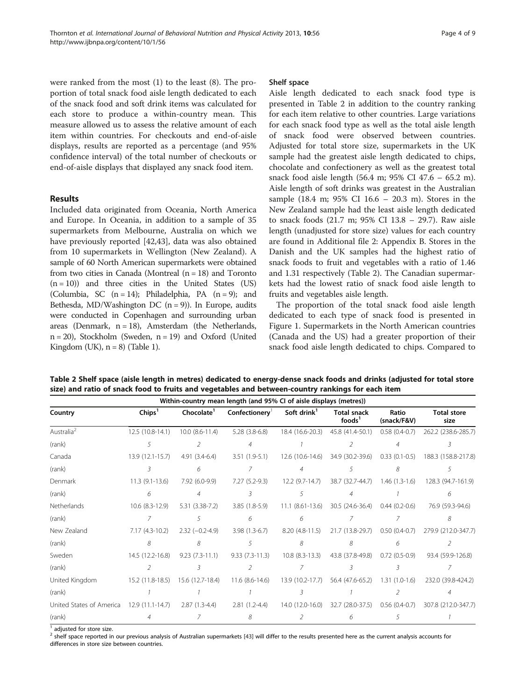were ranked from the most (1) to the least (8). The proportion of total snack food aisle length dedicated to each of the snack food and soft drink items was calculated for each store to produce a within-country mean. This measure allowed us to assess the relative amount of each item within countries. For checkouts and end-of-aisle displays, results are reported as a percentage (and 95% confidence interval) of the total number of checkouts or end-of-aisle displays that displayed any snack food item.

## Results

Included data originated from Oceania, North America and Europe. In Oceania, in addition to a sample of 35 supermarkets from Melbourne, Australia on which we have previously reported [[42](#page-8-0),[43](#page-8-0)], data was also obtained from 10 supermarkets in Wellington (New Zealand). A sample of 60 North American supermarkets were obtained from two cities in Canada (Montreal  $(n = 18)$  and Toronto  $(n = 10)$ ) and three cities in the United States (US) (Columbia, SC  $(n = 14)$ ; Philadelphia, PA  $(n = 9)$ ; and Bethesda, MD/Washington DC  $(n = 9)$ ). In Europe, audits were conducted in Copenhagen and surrounding urban areas (Denmark,  $n = 18$ ), Amsterdam (the Netherlands,  $n = 20$ ), Stockholm (Sweden,  $n = 19$ ) and Oxford (United Kingdom (UK),  $n = 8$ ) (Table [1](#page-2-0)).

#### Shelf space

Aisle length dedicated to each snack food type is presented in Table 2 in addition to the country ranking for each item relative to other countries. Large variations for each snack food type as well as the total aisle length of snack food were observed between countries. Adjusted for total store size, supermarkets in the UK sample had the greatest aisle length dedicated to chips, chocolate and confectionery as well as the greatest total snack food aisle length (56.4 m; 95% CI 47.6 – 65.2 m). Aisle length of soft drinks was greatest in the Australian sample (18.4 m; 95% CI 16.6 – 20.3 m). Stores in the New Zealand sample had the least aisle length dedicated to snack foods (21.7 m; 95% CI 13.8 – 29.7). Raw aisle length (unadjusted for store size) values for each country are found in Additional file [2](#page-6-0): Appendix B. Stores in the Danish and the UK samples had the highest ratio of snack foods to fruit and vegetables with a ratio of 1.46 and 1.31 respectively (Table 2). The Canadian supermarkets had the lowest ratio of snack food aisle length to fruits and vegetables aisle length.

The proportion of the total snack food aisle length dedicated to each type of snack food is presented in Figure [1](#page-4-0). Supermarkets in the North American countries (Canada and the US) had a greater proportion of their snack food aisle length dedicated to chips. Compared to

Table 2 Shelf space (aisle length in metres) dedicated to energy-dense snack foods and drinks (adjusted for total store size) and ratio of snack food to fruits and vegetables and between-country rankings for each item

| Within-country mean length (and 95% CI of aisle displays (metres)) |                     |                        |                            |                         |                                          |                      |                            |  |  |  |
|--------------------------------------------------------------------|---------------------|------------------------|----------------------------|-------------------------|------------------------------------------|----------------------|----------------------------|--|--|--|
| Country                                                            | Chips <sup>1</sup>  | Chocolate <sup>1</sup> | Confectionery <sup>1</sup> | Soft drink <sup>1</sup> | <b>Total snack</b><br>foods <sup>1</sup> | Ratio<br>(snack/F&V) | <b>Total store</b><br>size |  |  |  |
| Australia <sup>2</sup>                                             | $12.5(10.8-14.1)$   | $10.0 (8.6 - 11.4)$    | $5.28(3.8-6.8)$            | 18.4 (16.6-20.3)        | 45.8 (41.4-50.1)                         | $0.58(0.4-0.7)$      | 262.2 (238.6-285.7)        |  |  |  |
| (rank)                                                             | 5                   |                        | 4                          |                         |                                          |                      |                            |  |  |  |
| Canada                                                             | $13.9(12.1-15.7)$   | 4.91 (3.4-6.4)         | $3.51(1.9-5.1)$            |                         | 12.6 (10.6-14.6) 34.9 (30.2-39.6)        | $0.33(0.1-0.5)$      | 188.3 (158.8-217.8)        |  |  |  |
| (rank)                                                             | 3                   | 6                      | 7                          |                         | 5                                        | 8                    |                            |  |  |  |
| Denmark                                                            | $11.3(9.1-13.6)$    | 7.92 (6.0-9.9)         | $7.27(5.2-9.3)$            | 12.2 (9.7-14.7)         | 38.7 (32.7-44.7)                         | $1.46(1.3-1.6)$      | 128.3 (94.7-161.9)         |  |  |  |
| (rank)                                                             | 6                   |                        | 3                          |                         |                                          |                      |                            |  |  |  |
| Netherlands                                                        | $10.6$ $(8.3-12.9)$ | $5.31(3.38-7.2)$       | $3.85(1.8-5.9)$            | 11.1 (8.61-13.6)        | 30.5 (24.6-36.4)                         | $0.44(0.2-0.6)$      | 76.9 (59.3-94.6)           |  |  |  |
| (rank)                                                             |                     | 5                      | 6                          | 6                       |                                          |                      | 8                          |  |  |  |
| New Zealand                                                        | $7.17(4.3-10.2)$    | $2.32(-0.2-4.9)$       | $3.98(1.3-6.7)$            | 8.20 (4.8-11.5)         | 21.7 (13.8-29.7)                         | $0.50(0.4-0.7)$      | 279.9 (212.0-347.7)        |  |  |  |
| (rank)                                                             | 8                   |                        |                            | 8                       | 8                                        | 6                    |                            |  |  |  |
| Sweden                                                             | 14.5 (12.2-16.8)    | $9.23(7.3-11.1)$       | $9.33(7.3-11.3)$           | 10.8 (8.3-13.3)         | 43.8 (37.8-49.8)                         | $0.72(0.5-0.9)$      | 93.4 (59.9-126.8)          |  |  |  |
| (rank)                                                             | 2                   |                        |                            |                         |                                          |                      |                            |  |  |  |
| United Kingdom                                                     | 15.2 (11.8-18.5)    | 15.6 (12.7-18.4)       | $11.6(8.6-14.6)$           | 13.9 (10.2-17.7)        | 56.4 (47.6-65.2)                         | $1.31(1.0-1.6)$      | 232.0 (39.8-424.2)         |  |  |  |
| (rank)                                                             |                     |                        |                            |                         |                                          |                      |                            |  |  |  |
| United States of America                                           | 12.9 (11.1-14.7)    | $2.87(1.3-4.4)$        | $2.81(1.2-4.4)$            | 14.0 (12.0-16.0)        | 32.7 (28.0-37.5)                         | $0.56(0.4-0.7)$      | 307.8 (212.0-347.7)        |  |  |  |
| (rank)                                                             |                     |                        | 8                          |                         | ĥ                                        |                      |                            |  |  |  |

<sup>1</sup> adjusted for store size.

2 shelf space reported in our previous analysis of Australian supermarkets [\[43](#page-8-0)] will differ to the results presented here as the current analysis accounts for differences in store size between countries.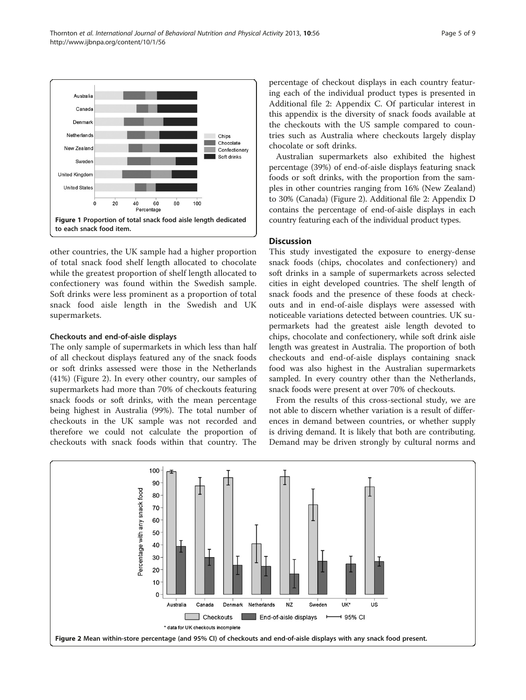<span id="page-4-0"></span>

other countries, the UK sample had a higher proportion of total snack food shelf length allocated to chocolate while the greatest proportion of shelf length allocated to confectionery was found within the Swedish sample. Soft drinks were less prominent as a proportion of total snack food aisle length in the Swedish and UK supermarkets.

## Checkouts and end-of-aisle displays

The only sample of supermarkets in which less than half of all checkout displays featured any of the snack foods or soft drinks assessed were those in the Netherlands (41%) (Figure 2). In every other country, our samples of supermarkets had more than 70% of checkouts featuring snack foods or soft drinks, with the mean percentage being highest in Australia (99%). The total number of checkouts in the UK sample was not recorded and therefore we could not calculate the proportion of checkouts with snack foods within that country. The

percentage of checkout displays in each country featuring each of the individual product types is presented in Additional file [2:](#page-6-0) Appendix C. Of particular interest in this appendix is the diversity of snack foods available at the checkouts with the US sample compared to countries such as Australia where checkouts largely display chocolate or soft drinks.

Australian supermarkets also exhibited the highest percentage (39%) of end-of-aisle displays featuring snack foods or soft drinks, with the proportion from the samples in other countries ranging from 16% (New Zealand) to 30% (Canada) (Figure 2). Additional file [2](#page-6-0): Appendix D contains the percentage of end-of-aisle displays in each country featuring each of the individual product types.

## **Discussion**

This study investigated the exposure to energy-dense snack foods (chips, chocolates and confectionery) and soft drinks in a sample of supermarkets across selected cities in eight developed countries. The shelf length of snack foods and the presence of these foods at checkouts and in end-of-aisle displays were assessed with noticeable variations detected between countries. UK supermarkets had the greatest aisle length devoted to chips, chocolate and confectionery, while soft drink aisle length was greatest in Australia. The proportion of both checkouts and end-of-aisle displays containing snack food was also highest in the Australian supermarkets sampled. In every country other than the Netherlands, snack foods were present at over 70% of checkouts.

From the results of this cross-sectional study, we are not able to discern whether variation is a result of differences in demand between countries, or whether supply is driving demand. It is likely that both are contributing. Demand may be driven strongly by cultural norms and

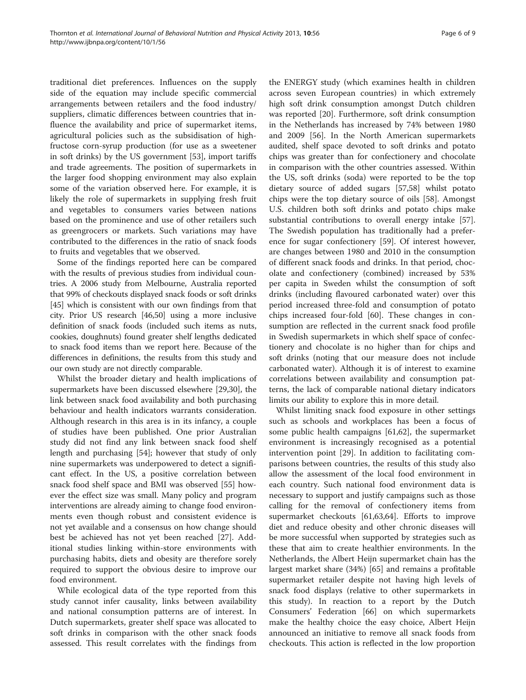traditional diet preferences. Influences on the supply side of the equation may include specific commercial arrangements between retailers and the food industry/ suppliers, climatic differences between countries that influence the availability and price of supermarket items, agricultural policies such as the subsidisation of highfructose corn-syrup production (for use as a sweetener in soft drinks) by the US government [[53\]](#page-8-0), import tariffs and trade agreements. The position of supermarkets in the larger food shopping environment may also explain some of the variation observed here. For example, it is likely the role of supermarkets in supplying fresh fruit and vegetables to consumers varies between nations based on the prominence and use of other retailers such as greengrocers or markets. Such variations may have contributed to the differences in the ratio of snack foods to fruits and vegetables that we observed.

Some of the findings reported here can be compared with the results of previous studies from individual countries. A 2006 study from Melbourne, Australia reported that 99% of checkouts displayed snack foods or soft drinks [[45](#page-8-0)] which is consistent with our own findings from that city. Prior US research [\[46,50](#page-8-0)] using a more inclusive definition of snack foods (included such items as nuts, cookies, doughnuts) found greater shelf lengths dedicated to snack food items than we report here. Because of the differences in definitions, the results from this study and our own study are not directly comparable.

Whilst the broader dietary and health implications of supermarkets have been discussed elsewhere [\[29,30](#page-7-0)], the link between snack food availability and both purchasing behaviour and health indicators warrants consideration. Although research in this area is in its infancy, a couple of studies have been published. One prior Australian study did not find any link between snack food shelf length and purchasing [\[54](#page-8-0)]; however that study of only nine supermarkets was underpowered to detect a significant effect. In the US, a positive correlation between snack food shelf space and BMI was observed [\[55](#page-8-0)] however the effect size was small. Many policy and program interventions are already aiming to change food environments even though robust and consistent evidence is not yet available and a consensus on how change should best be achieved has not yet been reached [[27](#page-7-0)]. Additional studies linking within-store environments with purchasing habits, diets and obesity are therefore sorely required to support the obvious desire to improve our food environment.

While ecological data of the type reported from this study cannot infer causality, links between availability and national consumption patterns are of interest. In Dutch supermarkets, greater shelf space was allocated to soft drinks in comparison with the other snack foods assessed. This result correlates with the findings from

the ENERGY study (which examines health in children across seven European countries) in which extremely high soft drink consumption amongst Dutch children was reported [[20\]](#page-7-0). Furthermore, soft drink consumption in the Netherlands has increased by 74% between 1980 and 2009 [[56\]](#page-8-0). In the North American supermarkets audited, shelf space devoted to soft drinks and potato chips was greater than for confectionery and chocolate in comparison with the other countries assessed. Within the US, soft drinks (soda) were reported to be the top dietary source of added sugars [[57,58\]](#page-8-0) whilst potato chips were the top dietary source of oils [\[58](#page-8-0)]. Amongst U.S. children both soft drinks and potato chips make substantial contributions to overall energy intake [\[57](#page-8-0)]. The Swedish population has traditionally had a preference for sugar confectionery [\[59](#page-8-0)]. Of interest however, are changes between 1980 and 2010 in the consumption of different snack foods and drinks. In that period, chocolate and confectionery (combined) increased by 53% per capita in Sweden whilst the consumption of soft drinks (including flavoured carbonated water) over this period increased three-fold and consumption of potato chips increased four-fold [\[60](#page-8-0)]. These changes in consumption are reflected in the current snack food profile in Swedish supermarkets in which shelf space of confectionery and chocolate is no higher than for chips and soft drinks (noting that our measure does not include carbonated water). Although it is of interest to examine correlations between availability and consumption patterns, the lack of comparable national dietary indicators limits our ability to explore this in more detail.

Whilst limiting snack food exposure in other settings such as schools and workplaces has been a focus of some public health campaigns [\[61,62](#page-8-0)], the supermarket environment is increasingly recognised as a potential intervention point [[29\]](#page-7-0). In addition to facilitating comparisons between countries, the results of this study also allow the assessment of the local food environment in each country. Such national food environment data is necessary to support and justify campaigns such as those calling for the removal of confectionery items from supermarket checkouts [\[61,63,64\]](#page-8-0). Efforts to improve diet and reduce obesity and other chronic diseases will be more successful when supported by strategies such as these that aim to create healthier environments. In the Netherlands, the Albert Heijn supermarket chain has the largest market share (34%) [\[65](#page-8-0)] and remains a profitable supermarket retailer despite not having high levels of snack food displays (relative to other supermarkets in this study). In reaction to a report by the Dutch Consumers' Federation [\[66\]](#page-8-0) on which supermarkets make the healthy choice the easy choice, Albert Heijn announced an initiative to remove all snack foods from checkouts. This action is reflected in the low proportion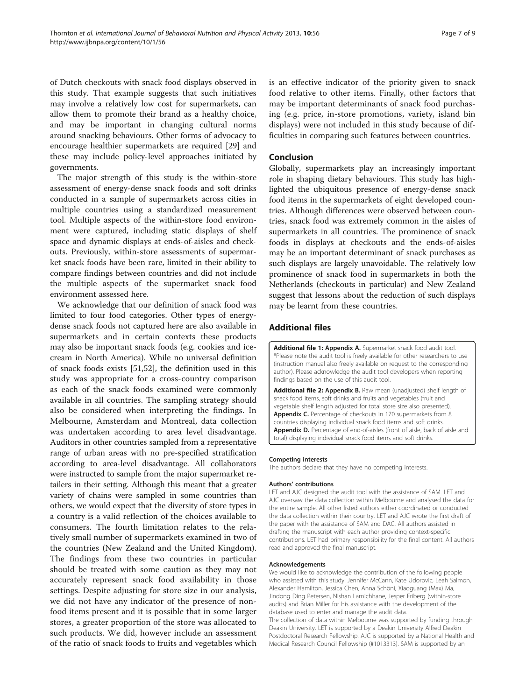<span id="page-6-0"></span>of Dutch checkouts with snack food displays observed in this study. That example suggests that such initiatives may involve a relatively low cost for supermarkets, can allow them to promote their brand as a healthy choice, and may be important in changing cultural norms around snacking behaviours. Other forms of advocacy to encourage healthier supermarkets are required [[29](#page-7-0)] and these may include policy-level approaches initiated by governments.

The major strength of this study is the within-store assessment of energy-dense snack foods and soft drinks conducted in a sample of supermarkets across cities in multiple countries using a standardized measurement tool. Multiple aspects of the within-store food environment were captured, including static displays of shelf space and dynamic displays at ends-of-aisles and checkouts. Previously, within-store assessments of supermarket snack foods have been rare, limited in their ability to compare findings between countries and did not include the multiple aspects of the supermarket snack food environment assessed here.

We acknowledge that our definition of snack food was limited to four food categories. Other types of energydense snack foods not captured here are also available in supermarkets and in certain contexts these products may also be important snack foods (e.g. cookies and icecream in North America). While no universal definition of snack foods exists [[51](#page-8-0),[52](#page-8-0)], the definition used in this study was appropriate for a cross-country comparison as each of the snack foods examined were commonly available in all countries. The sampling strategy should also be considered when interpreting the findings. In Melbourne, Amsterdam and Montreal, data collection was undertaken according to area level disadvantage. Auditors in other countries sampled from a representative range of urban areas with no pre-specified stratification according to area-level disadvantage. All collaborators were instructed to sample from the major supermarket retailers in their setting. Although this meant that a greater variety of chains were sampled in some countries than others, we would expect that the diversity of store types in a country is a valid reflection of the choices available to consumers. The fourth limitation relates to the relatively small number of supermarkets examined in two of the countries (New Zealand and the United Kingdom). The findings from these two countries in particular should be treated with some caution as they may not accurately represent snack food availability in those settings. Despite adjusting for store size in our analysis, we did not have any indicator of the presence of nonfood items present and it is possible that in some larger stores, a greater proportion of the store was allocated to such products. We did, however include an assessment of the ratio of snack foods to fruits and vegetables which

is an effective indicator of the priority given to snack food relative to other items. Finally, other factors that may be important determinants of snack food purchasing (e.g. price, in-store promotions, variety, island bin displays) were not included in this study because of difficulties in comparing such features between countries.

## Conclusion

Globally, supermarkets play an increasingly important role in shaping dietary behaviours. This study has highlighted the ubiquitous presence of energy-dense snack food items in the supermarkets of eight developed countries. Although differences were observed between countries, snack food was extremely common in the aisles of supermarkets in all countries. The prominence of snack foods in displays at checkouts and the ends-of-aisles may be an important determinant of snack purchases as such displays are largely unavoidable. The relatively low prominence of snack food in supermarkets in both the Netherlands (checkouts in particular) and New Zealand suggest that lessons about the reduction of such displays may be learnt from these countries.

## Additional files

[Additional file 1:](http://www.biomedcentral.com/content/supplementary/1479-5868-10-56-S1.pdf) Appendix A. Supermarket snack food audit tool. \*Please note the audit tool is freely available for other researchers to use (instruction manual also freely available on request to the corresponding author). Please acknowledge the audit tool developers when reporting findings based on the use of this audit tool.

[Additional file 2:](http://www.biomedcentral.com/content/supplementary/1479-5868-10-56-S2.docx) Appendix B. Raw mean (unadjusted) shelf length of snack food items, soft drinks and fruits and vegetables (fruit and vegetable shelf length adjusted for total store size also presented). Appendix C. Percentage of checkouts in 170 supermarkets from 8 countries displaying individual snack food items and soft drinks. Appendix D. Percentage of end-of-aisles (front of aisle, back of aisle and total) displaying individual snack food items and soft drinks.

#### Competing interests

The authors declare that they have no competing interests.

#### Authors' contributions

LET and AJC designed the audit tool with the assistance of SAM. LET and AJC oversaw the data collection within Melbourne and analysed the data for the entire sample. All other listed authors either coordinated or conducted the data collection within their country. LET and AJC wrote the first draft of the paper with the assistance of SAM and DAC. All authors assisted in drafting the manuscript with each author providing context-specific contributions. LET had primary responsibility for the final content. All authors read and approved the final manuscript.

#### Acknowledgements

We would like to acknowledge the contribution of the following people who assisted with this study: Jennifer McCann, Kate Udorovic, Leah Salmon, Alexander Hamilton, Jessica Chen, Anna Schöni, Xiaoguang (Max) Ma, Jindong Ding Petersen, Nishan Lamichhane, Jesper Friberg (within-store audits) and Brian Miller for his assistance with the development of the database used to enter and manage the audit data. The collection of data within Melbourne was supported by funding through Deakin University. LET is supported by a Deakin University Alfred Deakin Postdoctoral Research Fellowship. AJC is supported by a National Health and Medical Research Council Fellowship (#1013313). SAM is supported by an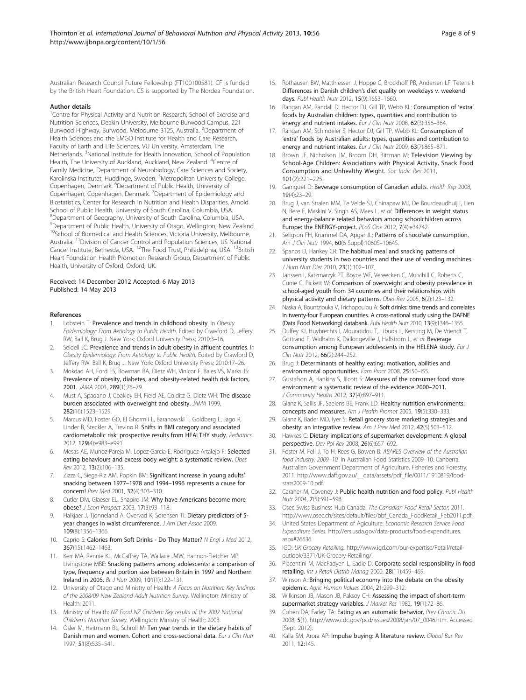<span id="page-7-0"></span>Australian Research Council Future Fellowship (FT100100581). CF is funded by the British Heart Foundation. CS is supported by The Nordea Foundation.

#### Author details

<sup>1</sup> Centre for Physical Activity and Nutrition Research, School of Exercise and Nutrition Sciences, Deakin University, Melbourne Burwood Campus, 221 Burwood Highway, Burwood, Melbourne 3125, Australia. <sup>2</sup>Department of Health Sciences and the EMGO Institute for Health and Care Research, Faculty of Earth and Life Sciences, VU University, Amsterdam, The Netherlands. <sup>3</sup>National Institute for Health Innovation, School of Population Health, The University of Auckland, Auckland, New Zealand. <sup>4</sup>Centre of Family Medicine, Department of Neurobiology, Care Sciences and Society, Karolinska Institutet, Huddinge, Sweden. <sup>5</sup>Metropolitan University College, Copenhagen, Denmark. <sup>6</sup>Department of Public Health, University of Copenhagen, Copenhagen, Denmark. <sup>7</sup> Department of Epidemiology and Biostatistics, Center for Research in Nutrition and Health Disparities, Arnold School of Public Health, University of South Carolina, Columbia, USA. 8 Department of Geography, University of South Carolina, Columbia, USA. 9 Department of Public Health, University of Otago, Wellington, New Zealand. <sup>10</sup>School of Biomedical and Health Sciences, Victoria University, Melbourne, Australia. 11Division of Cancer Control and Population Sciences, US National Cancer Institute, Bethesda, USA. <sup>12</sup>The Food Trust, Philadelphia, USA. <sup>13</sup>British Heart Foundation Health Promotion Research Group, Department of Public Health, University of Oxford, Oxford, UK.

#### Received: 14 December 2012 Accepted: 6 May 2013 Published: 14 May 2013

#### References

- 1. Lobstein T: Prevalence and trends in childhood obesity. In Obesity Epidemiology: From Aetiology to Public Health. Edited by Crawford D, Jeffery RW, Ball K, Brug J. New York: Oxford University Press; 2010:3–16.
- 2. Seidell JC: Prevalence and trends in adult obesity in affluent countries. In Obesity Epidemiology: From Aetiology to Public Health. Edited by Crawford D, Jeffery RW, Ball K, Brug J. New York: Oxford University Press; 2010:17–26.
- 3. Mokdad AH, Ford ES, Bowman BA, Dietz WH, Vinicor F, Bales VS, Marks JS: Prevalence of obesity, diabetes, and obesity-related health risk factors, 2001. JAMA 2003, 289(1):76–79.
- 4. Must A, Spadano J, Coakley EH, Field AE, Colditz G, Dietz WH: The disease burden associated with overweight and obesity. JAMA 1999, 282(16):1523–1529.
- 5. Marcus MD, Foster GD, El Ghormli L, Baranowski T, Goldberg L, Jago R, Linder B, Steckler A, Trevino R: Shifts in BMI category and associated cardiometabolic risk: prospective results from HEALTHY study. Pediatrics 2012, 129(4):e983–e991.
- 6. Mesas AE, Munoz-Pareja M, Lopez-Garcia E, Rodriguez-Artalejo F: Selected eating behaviours and excess body weight: a systematic review. Obes Rev 2012, 13(2):106–135.
- 7. Zizza C, Siega-Riz AM, Popkin BM: Significant increase in young adults' snacking between 1977–1978 and 1994–1996 represents a cause for concern! Prev Med 2001, 32(4):303–310.
- Cutler DM, Glaeser EL, Shapiro JM: Why have Americans become more obese? J Econ Perspect 2003, 17(3):93–118.
- 9. Halkjaer J, Tjonneland A, Overvad K, Sorensen TI: Dietary predictors of 5year changes in waist circumference. J Am Diet Assoc 2009, 109(8):1356–1366.
- 10. Caprio S: Calories from Soft Drinks Do They Matter? N Engl J Med 2012, 367(15):1462–1463.
- 11. Kerr MA, Rennie KL, McCaffrey TA, Wallace JMW, Hannon-Fletcher MP, Livingstone MBE: Snacking patterns among adolescents: a comparison of type, frequency and portion size between Britain in 1997 and Northern Ireland in 2005. Br J Nutr 2009, 101(1):122–131.
- 12. University of Otago and Ministry of Health: A Focus on Nutrition: Key findings of the 2008/09 New Zealand Adult Nutrition Survey. Wellington: Ministry of Health; 2011.
- 13. Ministry of Health: NZ Food NZ Children: Key results of the 2002 National Children's Nutrition Survey. Wellington: Ministry of Health; 2003.
- 14. Osler M, Heitmann BL, Schroll M: Ten year trends in the dietary habits of Danish men and women. Cohort and cross-sectional data. Eur J Clin Nutr 1997, 51(8):535–541.
- 15. Rothausen BW, Matthiessen J, Hoppe C, Brockhoff PB, Andersen LF, Tetens I: Differences in Danish children's diet quality on weekdays v. weekend days. Publ Health Nutr 2012, 15(9):1653–1660.
- 16. Rangan AM, Randall D, Hector DJ, Gill TP, Webb KL: Consumption of 'extra' foods by Australian children: types, quantities and contribution to energy and nutrient intakes. Eur J Clin Nutr 2008, 62(3):356-364.
- 17. Rangan AM, Schindeler S, Hector DJ, Gill TP, Webb KL: Consumption of 'extra' foods by Australian adults: types, quantities and contribution to energy and nutrient intakes. Eur J Clin Nutr 2009, 63(7):865-871.
- 18. Brown JE, Nicholson JM, Broom DH, Bittman M: Television Viewing by School-Age Children: Associations with Physical Activity, Snack Food Consumption and Unhealthy Weight. Soc Indic Res 2011, 101(2):221–225.
- 19. Garriquet D: Beverage consumption of Canadian adults. Health Rep 2008, 19(4):23–29.
- 20. Brug J, van Stralen MM, Te Velde SJ, Chinapaw MJ, De Bourdeaudhuij I, Lien N, Bere E, Maskini V, Singh AS, Maes L, et al: Differences in weight status and energy-balance related behaviors among schoolchildren across Europe: the ENERGY-project. PLoS One 2012, 7(4):e34742.
- 21. Seligson FH, Krummel DA, Apgar JL: Patterns of chocolate consumption. Am J Clin Nutr 1994, 60(6 Suppl):1060S–1064S.
- 22. Spanos D, Hankey CR: The habitual meal and snacking patterns of university students in two countries and their use of vending machines. J Hum Nutr Diet 2010, 23(1):102–107.
- 23. Janssen I, Katzmarzyk PT, Boyce WF, Vereecken C, Mulvihill C, Roberts C, Currie C, Pickett W: Comparison of overweight and obesity prevalence in school-aged youth from 34 countries and their relationships with physical activity and dietary patterns. Obes Rev 2005, 6(2):123–132.
- 24. Naska A, Bountziouka V, Trichopoulou A: Soft drinks: time trends and correlates in twenty-four European countries. A cross-national study using the DAFNE (Data Food Networking) databank. Publ Health Nutr 2010, 13(9):1346–1355.
- 25. Duffey KJ, Huybrechts I, Mouratidou T, Libuda L, Kersting M, De Vriendt T, Gottrand F, Widhalm K, Dallongeville J, Hallstrom L, et al: Beverage consumption among European adolescents in the HELENA study. Eur J Clin Nutr 2012, 66(2):244–252.
- 26. Brug J: Determinants of healthy eating: motivation, abilities and environmental opportunities. Fam Pract 2008, 25:i50–i55.
- 27. Gustafson A, Hankins S, Jilcott S: Measures of the consumer food store environment: a systematic review of the evidence 2000–2011. J Community Health 2012, 37(4):897–911.
- 28. Glanz K, Sallis JF, Saelens BE, Frank LD: Healthy nutrition environments: concepts and measures. Am J Health Promot 2005, 19(5):330–333.
- 29. Glanz K, Bader MD, Iyer S: Retail grocery store marketing strategies and obesity: an integrative review. Am J Prev Med 2012, 42(5):503–512.
- 30. Hawkes C: Dietary implications of supermarket development: A global perspective. Dev Pol Rev 2008, 26(6):657–692.
- 31. Foster M, Fell J, To H, Rees G, Bowen B: ABARES Overview of the Australian food industry, 2009–10. In Australian Food Statistics 2009–10. Canberra: Australian Government Department of Agriculture, Fisheries and Forestry; 2011. [http://www.daff.gov.au/\\_\\_data/assets/pdf\\_file/0011/1910819/food](http://www.daff.gov.au/__data/assets/pdf_file/0011/1910819/food-stats2009-10.pdf)[stats2009-10.pdf.](http://www.daff.gov.au/__data/assets/pdf_file/0011/1910819/food-stats2009-10.pdf)
- 32. Caraher M, Coveney J: Public health nutrition and food policy. Publ Health Nutr 2004, 7(5):591–598.
- 33. Osec Swiss Business Hub Canada: The Canadian Food Retail Sector; 2011. [http://www.osec.ch/sites/default/files/bbf\\_Canada\\_FoodRetail\\_Feb2011.pdf](http://www.osec.ch/sites/default/files/bbf_Canada_FoodRetail_Feb2011.pdf).
- 34. United States Department of Agiculture: Economic Research Service Food Expenditure Series. [http://ers.usda.gov/data-products/food-expenditures.](http://ers.usda.gov/data-products/food-expenditures.aspx#26636) [aspx#26636.](http://ers.usda.gov/data-products/food-expenditures.aspx#26636)
- 35. IGD: UK Grocery Retailing. [http://www.igd.com/our-expertise/Retail/retail](http://www.igd.com/our-expertise/Retail/retail-outlook/3371/UK-Grocery-Retailing/)[outlook/3371/UK-Grocery-Retailing/.](http://www.igd.com/our-expertise/Retail/retail-outlook/3371/UK-Grocery-Retailing/)
- 36. Piacentini M, MacFadyen L, Eadie D: Corporate social responsibility in food retailing. Int J Retail Distrib Manag 2000, 28(11):459–469.
- 37. Winson A: Bringing political economy into the debate on the obesity epidemic. Agric Human Values 2004, 21:299–312.
- 38. Wilkinson JB, Mason JB, Paksoy CH: Assessing the impact of short-term supermarket strategy variables. J Market Res 1982, 19(1):72-86.
- 39. Cohen DA, Farley TA: Eating as an automatic behavior. Prev Chronic Dis 2008, 5(1). [http://www.cdc.gov/pcd/issues/2008/jan/07\\_0046.htm.](http://www.cdc.gov/pcd/issues/2008/jan/07_0046.htm) Accessed [Sept. 2012].
- 40. Kalla SM, Arora AP: Impulse buying: A literature review. Global Bus Rev 2011, 12:145.